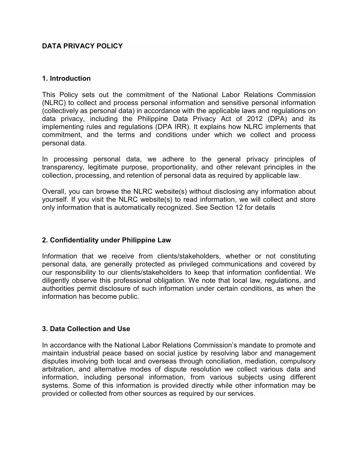## **DATA PRIVACY POLICY**

#### **1. Introduction**

This Policy sets out the commitment of the National Labor Relations Commission (NLRC) to collect and process personal information and sensitive personal information (collectively as personal data) in accordance with the applicable laws and regulations on data privacy, including the Philippine Data Privacy Act of 2012 (DPA) and its implementing rules and regulations (DPA IRR). It explains how NLRC implements that commitment, and the terms and conditions under which we collect and process personal data.

In processing personal data, we adhere to the general privacy principles of transparency, legitimate purpose, proportionality, and other relevant principles in the collection, processing, and retention of personal data as required by applicable law.

Overall, you can browse the NLRC website(s) without disclosing any information about yourself. If you visit the NLRC website(s) to read information, we will collect and store only information that is automatically recognized. See Section 12 for details

### **2. Confidentiality under Philippine Law**

Information that we receive from clients/stakeholders, whether or not constituting personal data, are generally protected as privileged communications and covered by our responsibility to our clients/stakeholders to keep that information confidential. We diligently observe this professional obligation. We note that local law, regulations, and authorities permit disclosure of such information under certain conditions, as when the information has become public.

### **3. Data Collection and Use**

In accordance with the National Labor Relations Commission's mandate to promote and maintain industrial peace based on social justice by resolving labor and management disputes involving both local and overseas through conciliation, mediation, compulsory arbitration, and alternative modes of dispute resolution we collect various data and information, including personal information, from various subjects using different systems. Some of this information is provided directly while other information may be provided or collected from other sources as required by our services.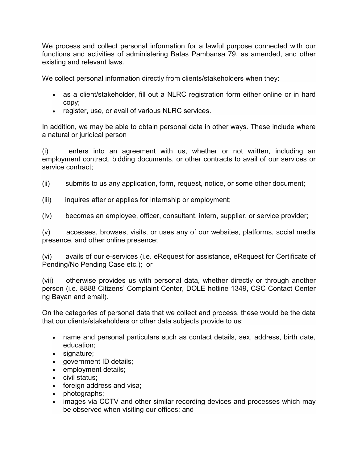We process and collect personal information for a lawful purpose connected with our functions and activities of administering Batas Pambansa 79, as amended, and other existing and relevant laws.

We collect personal information directly from clients/stakeholders when they:

- as a client/stakeholder, fill out a NLRC registration form either online or in hard copy;
- register, use, or avail of various NLRC services.

In addition, we may be able to obtain personal data in other ways. These include where a natural or juridical person

(i) enters into an agreement with us, whether or not written, including an employment contract, bidding documents, or other contracts to avail of our services or service contract;

- (ii) submits to us any application, form, request, notice, or some other document;
- (iii) inquires after or applies for internship or employment;
- (iv) becomes an employee, officer, consultant, intern, supplier, or service provider;

(v) accesses, browses, visits, or uses any of our websites, platforms, social media presence, and other online presence;

(vi) avails of our e-services (i.e. eRequest for assistance, eRequest for Certificate of Pending/No Pending Case etc.); or

(vii) otherwise provides us with personal data, whether directly or through another person (i.e. 8888 Citizens' Complaint Center, DOLE hotline 1349, CSC Contact Center ng Bayan and email).

On the categories of personal data that we collect and process, these would be the data that our clients/stakeholders or other data subjects provide to us:

- name and personal particulars such as contact details, sex, address, birth date, education;
- signature;
- government ID details;
- employment details;
- civil status;
- foreign address and visa;
- photographs;
- images via CCTV and other similar recording devices and processes which may be observed when visiting our offices; and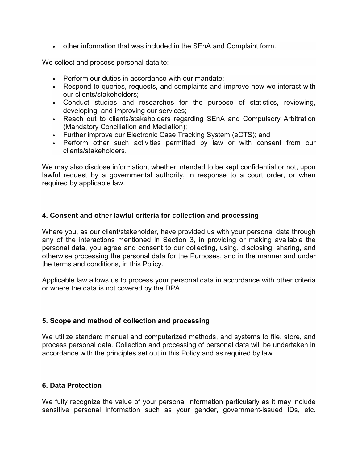• other information that was included in the SEnA and Complaint form.

We collect and process personal data to:

- Perform our duties in accordance with our mandate;
- Respond to queries, requests, and complaints and improve how we interact with our clients/stakeholders;
- Conduct studies and researches for the purpose of statistics, reviewing, developing, and improving our services;
- Reach out to clients/stakeholders regarding SEnA and Compulsory Arbitration (Mandatory Conciliation and Mediation);
- Further improve our Electronic Case Tracking System (eCTS); and
- Perform other such activities permitted by law or with consent from our clients/stakeholders.

We may also disclose information, whether intended to be kept confidential or not, upon lawful request by a governmental authority, in response to a court order, or when required by applicable law.

# **4. Consent and other lawful criteria for collection and processing**

Where you, as our client/stakeholder, have provided us with your personal data through any of the interactions mentioned in Section 3, in providing or making available the personal data, you agree and consent to our collecting, using, disclosing, sharing, and otherwise processing the personal data for the Purposes, and in the manner and under the terms and conditions, in this Policy.

Applicable law allows us to process your personal data in accordance with other criteria or where the data is not covered by the DPA.

# **5. Scope and method of collection and processing**

We utilize standard manual and computerized methods, and systems to file, store, and process personal data. Collection and processing of personal data will be undertaken in accordance with the principles set out in this Policy and as required by law.

### **6. Data Protection**

We fully recognize the value of your personal information particularly as it may include sensitive personal information such as your gender, government-issued IDs, etc.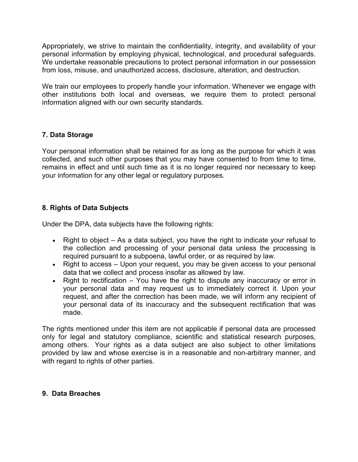Appropriately, we strive to maintain the confidentiality, integrity, and availability of your personal information by employing physical, technological, and procedural safeguards. We undertake reasonable precautions to protect personal information in our possession from loss, misuse, and unauthorized access, disclosure, alteration, and destruction.

We train our employees to properly handle your information. Whenever we engage with other institutions both local and overseas, we require them to protect personal information aligned with our own security standards.

# **7. Data Storage**

Your personal information shall be retained for as long as the purpose for which it was collected, and such other purposes that you may have consented to from time to time, remains in effect and until such time as it is no longer required nor necessary to keep your information for any other legal or regulatory purposes.

## **8. Rights of Data Subjects**

Under the DPA, data subjects have the following rights:

- Right to object As a data subject, you have the right to indicate your refusal to the collection and processing of your personal data unless the processing is required pursuant to a subpoena, lawful order, or as required by law.
- Right to access Upon your request, you may be given access to your personal data that we collect and process insofar as allowed by law.
- Right to rectification  $-$  You have the right to dispute any inaccuracy or error in your personal data and may request us to immediately correct it. Upon your request, and after the correction has been made, we will inform any recipient of your personal data of its inaccuracy and the subsequent rectification that was made.

The rights mentioned under this item are not applicable if personal data are processed only for legal and statutory compliance, scientific and statistical research purposes, among others. Your rights as a data subject are also subject to other limitations provided by law and whose exercise is in a reasonable and non-arbitrary manner, and with regard to rights of other parties.

### **9. Data Breaches**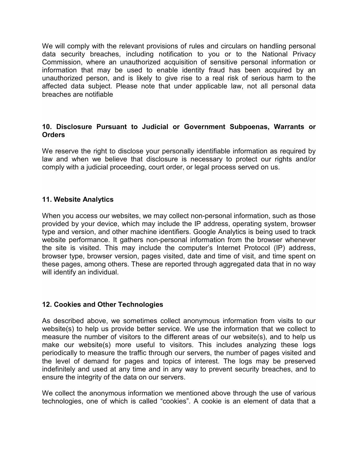We will comply with the relevant provisions of rules and circulars on handling personal data security breaches, including notification to you or to the National Privacy Commission, where an unauthorized acquisition of sensitive personal information or information that may be used to enable identity fraud has been acquired by an unauthorized person, and is likely to give rise to a real risk of serious harm to the affected data subject. Please note that under applicable law, not all personal data breaches are notifiable

# **10. Disclosure Pursuant to Judicial or Government Subpoenas, Warrants or Orders**

We reserve the right to disclose your personally identifiable information as required by law and when we believe that disclosure is necessary to protect our rights and/or comply with a judicial proceeding, court order, or legal process served on us.

## **11. Website Analytics**

When you access our websites, we may collect non-personal information, such as those provided by your device, which may include the IP address, operating system, browser type and version, and other machine identifiers. Google Analytics is being used to track website performance. It gathers non-personal information from the browser whenever the site is visited. This may include the computer's Internet Protocol (IP) address, browser type, browser version, pages visited, date and time of visit, and time spent on these pages, among others. These are reported through aggregated data that in no way will identify an individual.

### **12. Cookies and Other Technologies**

As described above, we sometimes collect anonymous information from visits to our website(s) to help us provide better service. We use the information that we collect to measure the number of visitors to the different areas of our website(s), and to help us make our website(s) more useful to visitors. This includes analyzing these logs periodically to measure the traffic through our servers, the number of pages visited and the level of demand for pages and topics of interest. The logs may be preserved indefinitely and used at any time and in any way to prevent security breaches, and to ensure the integrity of the data on our servers.

We collect the anonymous information we mentioned above through the use of various technologies, one of which is called "cookies". A cookie is an element of data that a